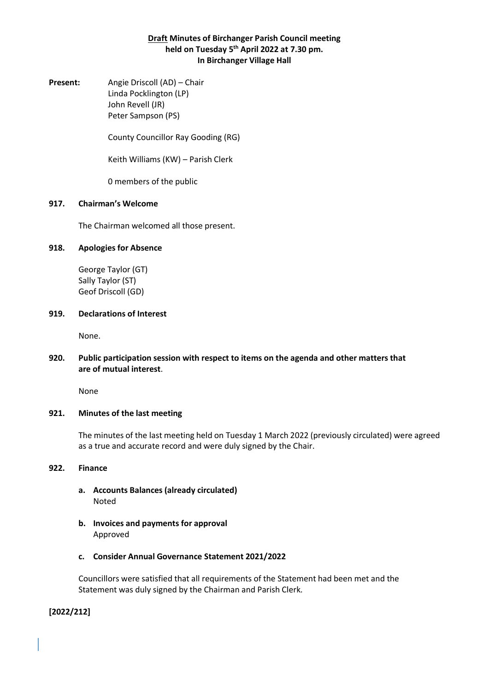## **Draft Minutes of Birchanger Parish Council meeting held on Tuesday 5 th April 2022 at 7.30 pm. In Birchanger Village Hall**

**Present:** Angie Driscoll (AD) – Chair Linda Pocklington (LP) John Revell (JR) Peter Sampson (PS)

County Councillor Ray Gooding (RG)

Keith Williams (KW) – Parish Clerk

0 members of the public

## **917. Chairman's Welcome**

The Chairman welcomed all those present.

## **918. Apologies for Absence**

George Taylor (GT) Sally Taylor (ST) Geof Driscoll (GD)

#### **919. Declarations of Interest**

None.

## **920. Public participation session with respect to items on the agenda and other matters that are of mutual interest**.

None

## **921. Minutes of the last meeting**

The minutes of the last meeting held on Tuesday 1 March 2022 (previously circulated) were agreed as a true and accurate record and were duly signed by the Chair.

## **922. Finance**

- **a. Accounts Balances (already circulated)** Noted
- **b. Invoices and payments for approval** Approved
- **c. Consider Annual Governance Statement 2021/2022**

Councillors were satisfied that all requirements of the Statement had been met and the Statement was duly signed by the Chairman and Parish Clerk.

**[2022/212]**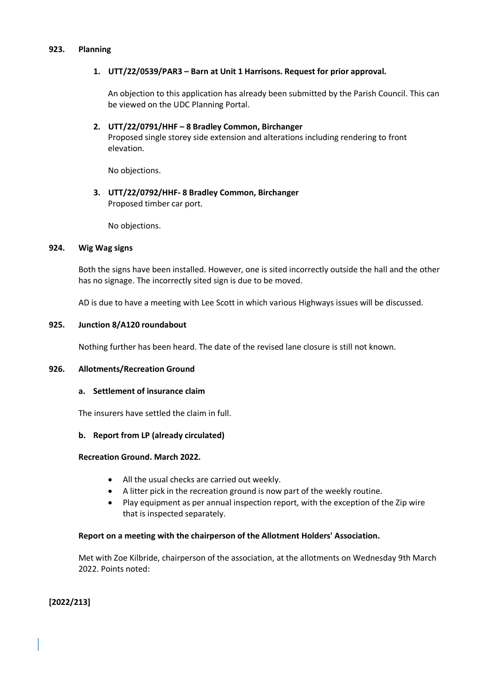#### **923. Planning**

## **1. UTT/22/0539/PAR3 – Barn at Unit 1 Harrisons. Request for prior approval.**

An objection to this application has already been submitted by the Parish Council. This can be viewed on the UDC Planning Portal.

**2. UTT/22/0791/HHF – 8 Bradley Common, Birchanger** Proposed single storey side extension and alterations including rendering to front elevation.

No objections.

# **3. UTT/22/0792/HHF- 8 Bradley Common, Birchanger** Proposed timber car port.

No objections.

### **924. Wig Wag signs**

Both the signs have been installed. However, one is sited incorrectly outside the hall and the other has no signage. The incorrectly sited sign is due to be moved.

AD is due to have a meeting with Lee Scott in which various Highways issues will be discussed.

#### **925. Junction 8/A120 roundabout**

Nothing further has been heard. The date of the revised lane closure is still not known.

## **926. Allotments/Recreation Ground**

### **a. Settlement of insurance claim**

The insurers have settled the claim in full.

## **b. Report from LP (already circulated)**

### **Recreation Ground. March 2022.**

- All the usual checks are carried out weekly.
- A litter pick in the recreation ground is now part of the weekly routine.
- Play equipment as per annual inspection report, with the exception of the Zip wire that is inspected separately.

## **Report on a meeting with the chairperson of the Allotment Holders' Association.**

Met with Zoe Kilbride, chairperson of the association, at the allotments on Wednesday 9th March 2022. Points noted:

**[2022/213]**